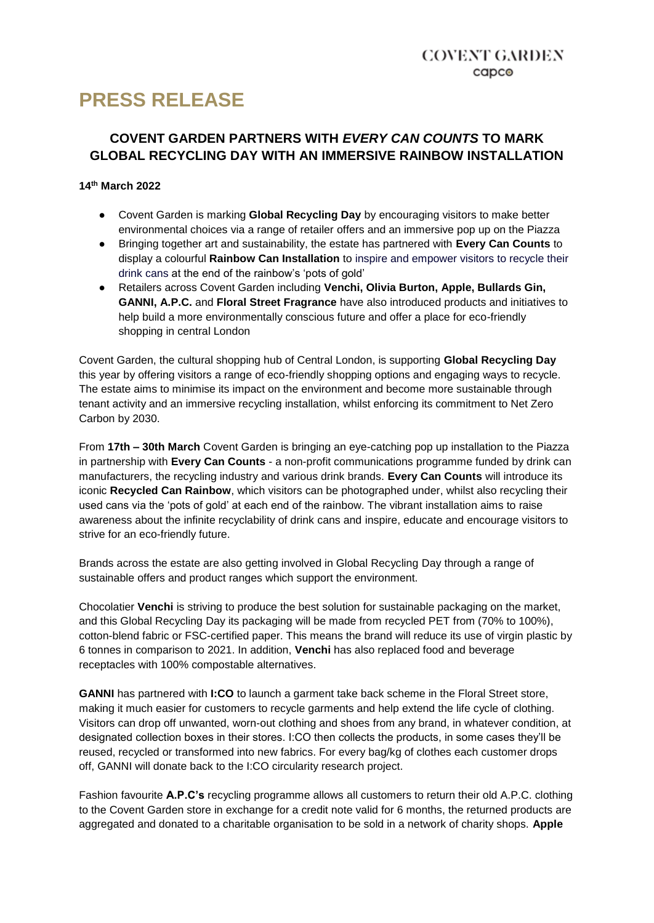# **PRESS RELEASE**

# **COVENT GARDEN PARTNERS WITH** *EVERY CAN COUNTS* **TO MARK GLOBAL RECYCLING DAY WITH AN IMMERSIVE RAINBOW INSTALLATION**

# **14th March 2022**

- Covent Garden is marking **Global Recycling Day** by encouraging visitors to make better environmental choices via a range of retailer offers and an immersive pop up on the Piazza
- Bringing together art and sustainability, the estate has partnered with **Every Can Counts** to display a colourful **Rainbow Can Installation** to inspire and empower visitors to recycle their drink cans at the end of the rainbow's 'pots of gold'
- Retailers across Covent Garden including **Venchi, Olivia Burton, Apple, Bullards Gin, GANNI, A.P.C.** and **Floral Street Fragrance** have also introduced products and initiatives to help build a more environmentally conscious future and offer a place for eco-friendly shopping in central London

Covent Garden, the cultural shopping hub of Central London, is supporting **Global Recycling Day**  this year by offering visitors a range of eco-friendly shopping options and engaging ways to recycle. The estate aims to minimise its impact on the environment and become more sustainable through tenant activity and an immersive recycling installation, whilst enforcing its commitment to Net Zero Carbon by 2030.

From **17th – 30th March** Covent Garden is bringing an eye-catching pop up installation to the Piazza in partnership with **Every Can Counts** - a non-profit communications programme funded by drink can manufacturers, the recycling industry and various drink brands. **Every Can Counts** will introduce its iconic **Recycled Can Rainbow**, which visitors can be photographed under, whilst also recycling their used cans via the 'pots of gold' at each end of the rainbow. The vibrant installation aims to raise awareness about the infinite recyclability of drink cans and inspire, educate and encourage visitors to strive for an eco-friendly future.

Brands across the estate are also getting involved in Global Recycling Day through a range of sustainable offers and product ranges which support the environment.

Chocolatier **Venchi** is striving to produce the best solution for sustainable packaging on the market, and this Global Recycling Day its packaging will be made from recycled PET from (70% to 100%), cotton-blend fabric or FSC-certified paper. This means the brand will reduce its use of virgin plastic by 6 tonnes in comparison to 2021. In addition, **Venchi** has also replaced food and beverage receptacles with 100% compostable alternatives.

**GANNI** has partnered with **I:CO** to launch a garment take back scheme in the Floral Street store, making it much easier for customers to recycle garments and help extend the life cycle of clothing. Visitors can drop off unwanted, worn-out clothing and shoes from any brand, in whatever condition, at designated collection boxes in their stores. I:CO then collects the products, in some cases they'll be reused, recycled or transformed into new fabrics. For every bag/kg of clothes each customer drops off, GANNI will donate back to the I:CO circularity research project.

Fashion favourite **A.P.C's** recycling programme allows all customers to return their old A.P.C. clothing to the Covent Garden store in exchange for a credit note valid for 6 months, the returned products are aggregated and donated to a charitable organisation to be sold in a network of charity shops. **Apple**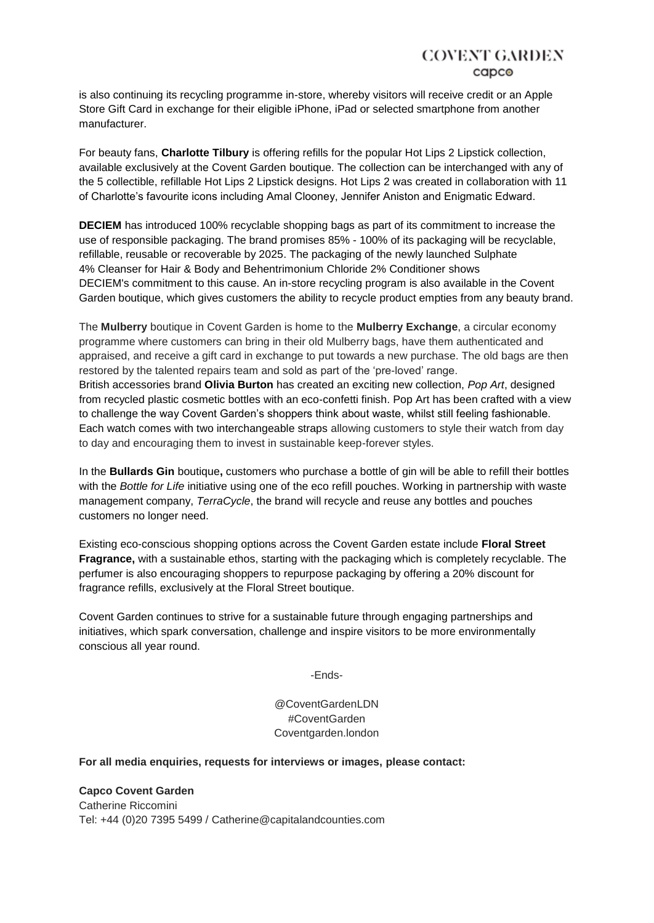# **COVENT GARDEN** capco

is also continuing its recycling programme in-store, whereby visitors will receive credit or an Apple Store Gift Card in exchange for their eligible iPhone, iPad or selected smartphone from another manufacturer.

For beauty fans, **Charlotte Tilbury** is offering refills for the popular Hot Lips 2 Lipstick collection, available exclusively at the Covent Garden boutique. The collection can be interchanged with any of the 5 collectible, refillable Hot Lips 2 Lipstick designs. Hot Lips 2 was created in collaboration with 11 of Charlotte's favourite icons including Amal Clooney, Jennifer Aniston and Enigmatic Edward.

**DECIEM** has introduced 100% recyclable shopping bags as part of its commitment to increase the use of responsible packaging. The brand promises 85% - 100% of its packaging will be recyclable, refillable, reusable or recoverable by 2025. The packaging of the newly launched Sulphate 4% Cleanser for Hair & Body and Behentrimonium Chloride 2% Conditioner shows DECIEM's commitment to this cause. An in-store recycling program is also available in the Covent Garden boutique, which gives customers the ability to recycle product empties from any beauty brand.

The **Mulberry** boutique in Covent Garden is home to the **Mulberry Exchange**, a circular economy programme where customers can bring in their old Mulberry bags, have them authenticated and appraised, and receive a gift card in exchange to put towards a new purchase. The old bags are then restored by the talented repairs team and sold as part of the 'pre-loved' range. British accessories brand **Olivia Burton** has created an exciting new collection, *Pop Art*, designed from recycled plastic cosmetic bottles with an eco-confetti finish. Pop Art has been crafted with a view to challenge the way Covent Garden's shoppers think about waste, whilst still feeling fashionable. Each watch comes with two interchangeable straps allowing customers to style their watch from day to day and encouraging them to invest in sustainable keep-forever styles.

In the **Bullards Gin** boutique**,** customers who purchase a bottle of gin will be able to refill their bottles with the *Bottle for Life* initiative using one of the eco refill pouches. Working in partnership with waste management company, *TerraCycle*, the brand will recycle and reuse any bottles and pouches customers no longer need.

Existing eco-conscious shopping options across the Covent Garden estate include **Floral Street Fragrance,** with a sustainable ethos, starting with the packaging which is completely recyclable. The perfumer is also encouraging shoppers to repurpose packaging by offering a 20% discount for fragrance refills, exclusively at the Floral Street boutique.

Covent Garden continues to strive for a sustainable future through engaging partnerships and initiatives, which spark conversation, challenge and inspire visitors to be more environmentally conscious all year round.

-Ends-

@CoventGardenLDN #CoventGarden Coventgarden.london

#### **For all media enquiries, requests for interviews or images, please contact:**

**Capco Covent Garden** Catherine Riccomini

Tel: +44 (0)20 7395 5499 / Catherine@capitalandcounties.com